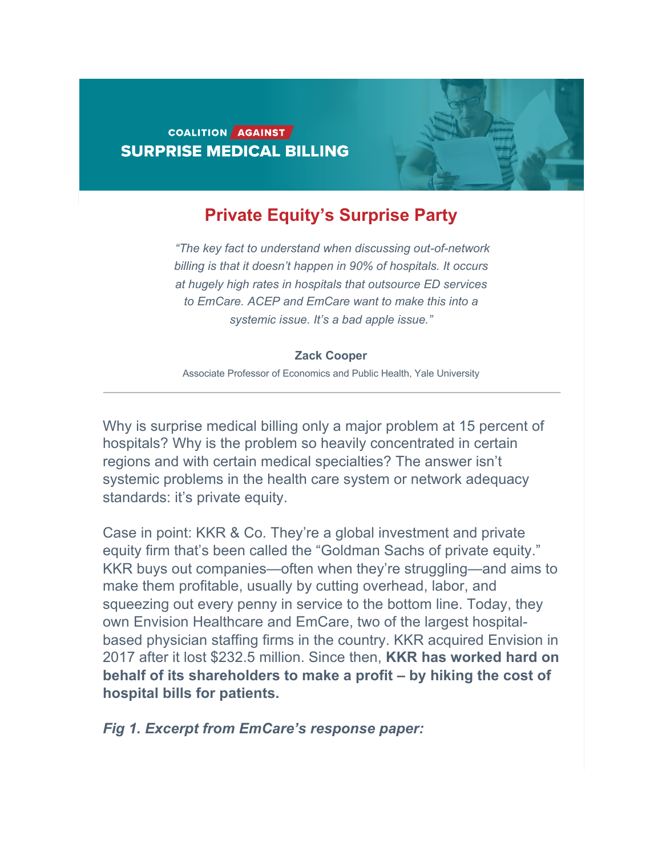# COALITION AGAINST **SURPRISE MEDICAL BILLING**

# **Private Equity's Surprise Party**

*"The key fact to understand when discussing out-of-network billing is that it doesn't happen in 90% of hospitals. It occurs at hugely high rates in hospitals that outsource ED services to EmCare. ACEP and EmCare want to make this into a systemic issue. It's a bad apple issue."*

### **Zack Cooper**

Associate Professor of Economics and Public Health, Yale University

Why is surprise medical billing only a major problem at 15 percent of hospitals? Why is the problem so heavily concentrated in certain regions and with certain medical specialties? The answer isn't systemic problems in the health care system or network adequacy standards: it's private equity.

Case in point: KKR & Co. They're a global investment and private equity firm that's been called the "Goldman Sachs of private equity." KKR buys out companies—often when they're struggling—and aims to make them profitable, usually by cutting overhead, labor, and squeezing out every penny in service to the bottom line. Today, they own Envision Healthcare and EmCare, two of the largest hospitalbased physician staffing firms in the country. KKR acquired Envision in 2017 after it lost \$232.5 million. Since then, **KKR has worked hard on behalf of its shareholders to make a profit – by hiking the cost of hospital bills for patients.**

*Fig 1. Excerpt from EmCare's response paper:*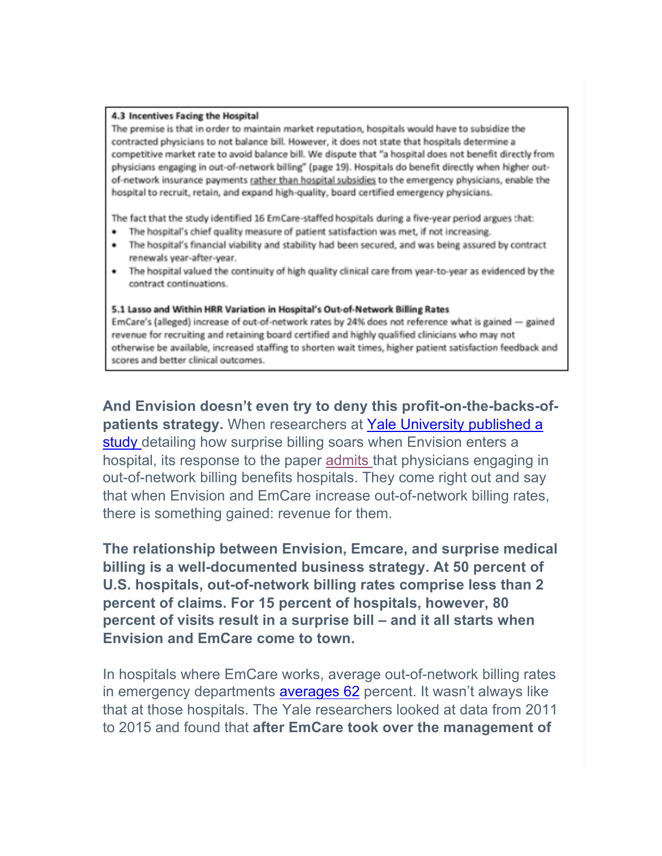#### 4.3 Incentives Facing the Hospital

The premise is that in order to maintain market reputation, hospitals would have to subsidize the contracted physicians to not balance bill. However, it does not state that hospitals determine a competitive market rate to avoid balance bill. We dispute that "a hospital does not benefit directly from physicians engaging in out-of-network billing" (page 19). Hospitals do benefit directly when higher outof-network insurance payments rather than hospital subsidies to the emergency physicians, enable the hospital to recruit, retain, and expand high-quality, board certified emergency physicians.

The fact that the study identified 16 EmCare-staffed hospitals during a five-year period argues that:

- The hospital's chief quality measure of patient satisfaction was met, if not increasing.
- The hospital's financial viability and stability had been secured, and was being assured by contract renewals year-after-year.
- The hospital valued the continuity of high quality clinical care from year-to-year as evidenced by the contract continuations.

#### 5.1 Lasso and Within HRR Variation in Hospital's Out-of-Network Billing Rates

EmCare's (alleged) increase of out-of-network rates by 24% does not reference what is gained - gained revenue for recruiting and retaining board certified and highly qualified clinicians who may not otherwise be available, increased staffing to shorten wait times, higher patient satisfaction feedback and scores and better clinical outcomes.

**And Envision doesn't even try to deny this profit-on-the-backs-ofpatients strategy.** When researchers at Yale University published a study detailing how surprise billing soars when Envision enters a hospital, its response to the paper admits that physicians engaging in out-of-network billing benefits hospitals. They come right out and say that when Envision and EmCare increase out-of-network billing rates, there is something gained: revenue for them.

**The relationship between Envision, Emcare, and surprise medical billing is a well-documented business strategy. At 50 percent of U.S. hospitals, out-of-network billing rates comprise less than 2 percent of claims. For 15 percent of hospitals, however, 80 percent of visits result in a surprise bill – and it all starts when Envision and EmCare come to town.**

In hospitals where EmCare works, average out-of-network billing rates in emergency departments averages 62 percent. It wasn't always like that at those hospitals. The Yale researchers looked at data from 2011 to 2015 and found that **after EmCare took over the management of**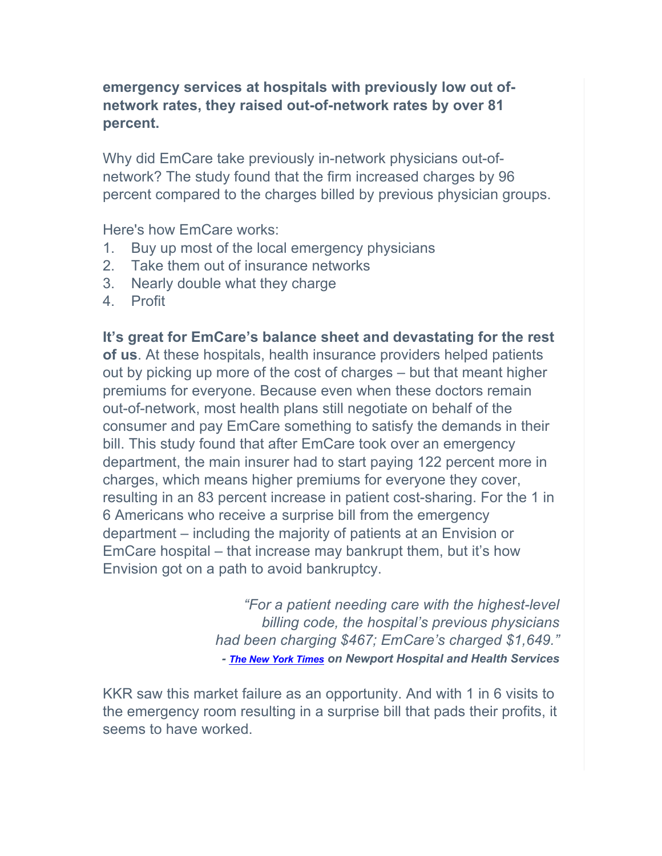# **emergency services at hospitals with previously low out ofnetwork rates, they raised out-of-network rates by over 81 percent.**

Why did EmCare take previously in-network physicians out-ofnetwork? The study found that the firm increased charges by 96 percent compared to the charges billed by previous physician groups.

Here's how EmCare works:

- 1. Buy up most of the local emergency physicians
- 2. Take them out of insurance networks
- 3. Nearly double what they charge
- 4. Profit

**It's great for EmCare's balance sheet and devastating for the rest of us**. At these hospitals, health insurance providers helped patients out by picking up more of the cost of charges – but that meant higher premiums for everyone. Because even when these doctors remain out-of-network, most health plans still negotiate on behalf of the consumer and pay EmCare something to satisfy the demands in their bill. This study found that after EmCare took over an emergency department, the main insurer had to start paying 122 percent more in charges, which means higher premiums for everyone they cover, resulting in an 83 percent increase in patient cost-sharing. For the 1 in 6 Americans who receive a surprise bill from the emergency department – including the majority of patients at an Envision or EmCare hospital – that increase may bankrupt them, but it's how Envision got on a path to avoid bankruptcy.

> *"For a patient needing care with the highest-level billing code, the hospital's previous physicians had been charging \$467; EmCare's charged \$1,649." - The New York Times on Newport Hospital and Health Services*

KKR saw this market failure as an opportunity. And with 1 in 6 visits to the emergency room resulting in a surprise bill that pads their profits, it seems to have worked.